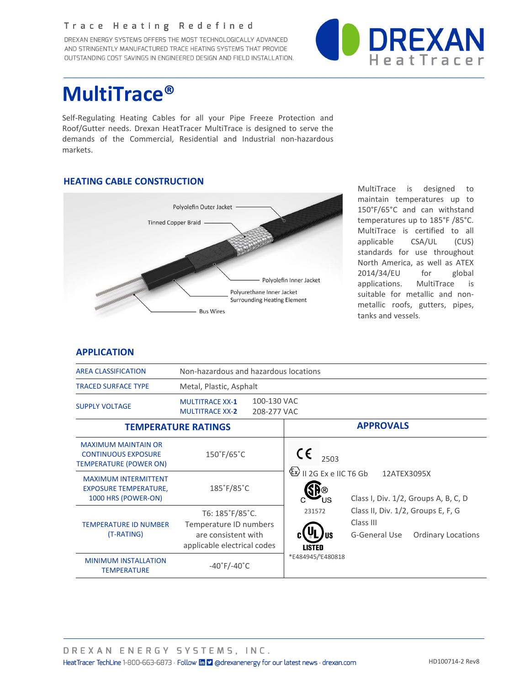DREXAN ENERGY SYSTEMS OFFERS THE MOST TECHNOLOGICALLY ADVANCED AND STRINGENTLY MANUFACTURED TRACE HEATING SYSTEMS THAT PROVIDE OUTSTANDING COST SAVINGS IN ENGINEERED DESIGN AND FIELD INSTALLATION.



# **MultiTrace®**

Self-Regulating Heating Cables for all your Pipe Freeze Protection and Roof/Gutter needs. Drexan HeatTracer MultiTrace is designed to serve the demands of the Commercial, Residential and Industrial non-hazardous markets.

## **HEATING CABLE CONSTRUCTION**



MultiTrace is designed to maintain temperatures up to 150°F/65°C and can withstand temperatures up to 185°F /85°C. MultiTrace is certified to all applicable CSA/UL (CUS) standards for use throughout North America, as well as ATEX 2014/34/EU for global applications. MultiTrace is suitable for metallic and nonmetallic roofs, gutters, pipes, tanks and vessels.

### **APPLICATION**

| <b>AREA CLASSIFICATION</b>                                                                | Non-hazardous and hazardous locations                                                           |                                                                                  |                                                                                               |  |  |  |  |
|-------------------------------------------------------------------------------------------|-------------------------------------------------------------------------------------------------|----------------------------------------------------------------------------------|-----------------------------------------------------------------------------------------------|--|--|--|--|
| <b>TRACED SURFACE TYPE</b>                                                                | Metal, Plastic, Asphalt                                                                         |                                                                                  |                                                                                               |  |  |  |  |
| <b>SUPPLY VOLTAGE</b>                                                                     | 100-130 VAC<br><b>MULTITRACE XX-1</b><br><b>MULTITRACE XX-2</b><br>208-277 VAC                  |                                                                                  |                                                                                               |  |  |  |  |
|                                                                                           | <b>TEMPERATURE RATINGS</b>                                                                      | <b>APPROVALS</b>                                                                 |                                                                                               |  |  |  |  |
| <b>MAXIMUM MAINTAIN OR</b><br><b>CONTINUOUS EXPOSURE</b><br><b>TEMPERATURE (POWER ON)</b> | 150°F/65°C                                                                                      | CE<br>2503                                                                       |                                                                                               |  |  |  |  |
| <b>MAXIMUM INTERMITTENT</b><br><b>EXPOSURE TEMPERATURE,</b><br>1000 HRS (POWER-ON)        | 185°F/85°C                                                                                      | $\frac{\mathbb{E} \mathbf{x}}{\mathbb{E} \mathbf{x}}$ II 2G Ex e IIC T6 Gb<br>US | 12ATEX3095X<br>Class I, Div. 1/2, Groups A, B, C, D                                           |  |  |  |  |
| <b>TEMPERATURE ID NUMBER</b><br>(T-RATING)                                                | T6: 185°F/85°C.<br>Temperature ID numbers<br>are consistent with<br>applicable electrical codes | 231572<br><b>LISTED</b>                                                          | Class II, Div. 1/2, Groups E, F, G<br>Class III<br>G-General Use<br><b>Ordinary Locations</b> |  |  |  |  |
| <b>MINIMUM INSTALLATION</b><br><b>TEMPERATURE</b>                                         | $-40^\circ$ F/-40 $\degree$ C                                                                   | *E484945/ <sup>†</sup> E480818                                                   |                                                                                               |  |  |  |  |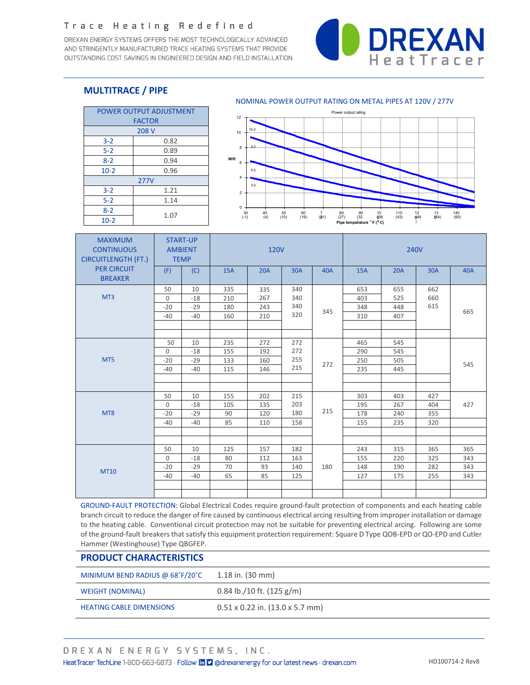DREXAN ENERGY SYSTEMS OFFERS THE MOST TECHNOLOGICALLY ADVANCED AND STRINGENTLY MANUFACTURED TRACE HEATING SYSTEMS THAT PROVIDE OUTSTANDING COST SAVINGS IN ENGINEERED DESIGN AND FIELD INSTALLATION.



# **MULTITRACE / PIPE**



#### NOMINAL POWER OUTPUT RATING ON METAL PIPES AT 120V / 277V



| <b>MAXIMUM</b><br><b>CONTINUOUS</b><br><b>CIRCUITLENGTH (FT.)</b> |             | <b>START-UP</b><br><b>AMBIENT</b><br><b>TEMP</b> |            | <b>120V</b> |     |            | <b>240V</b> |            |            |            |  |
|-------------------------------------------------------------------|-------------|--------------------------------------------------|------------|-------------|-----|------------|-------------|------------|------------|------------|--|
| <b>PER CIRCUIT</b><br><b>BREAKER</b>                              | (F)         | (C)                                              | <b>15A</b> | 20A         | 30A | <b>40A</b> | <b>15A</b>  | <b>20A</b> | <b>30A</b> | <b>40A</b> |  |
|                                                                   | 50          | 10                                               | 335        | 335         | 340 |            | 653         | 655        | 662        |            |  |
| MT3                                                               | $\mathbf 0$ | $-18$                                            | 210        | 267         | 340 |            | 403         | 525        | 660        |            |  |
|                                                                   | $-20$       | $-29$                                            | 180        | 243         | 340 | 345        | 348         | 448        | 615        | 665        |  |
|                                                                   | $-40$       | $-40$                                            | 160        | 210         | 320 |            | 310         | 407        |            |            |  |
|                                                                   |             |                                                  |            |             |     |            |             |            |            |            |  |
|                                                                   |             |                                                  |            |             |     |            |             |            |            |            |  |
|                                                                   | 50          | 10                                               | 235        | 272         | 272 |            | 465         | 545        |            |            |  |
|                                                                   | $\Omega$    | $-18$                                            | 155        | 192         | 272 |            | 290         | 545        |            |            |  |
| MT5                                                               | $-20$       | $-29$                                            | 133        | 160         | 255 | 272        | 250         | 505        |            | 545        |  |
|                                                                   | $-40$       | $-40$                                            | 115        | 146         | 215 |            | 235         | 445        |            |            |  |
|                                                                   |             |                                                  |            |             |     |            |             |            |            |            |  |
|                                                                   |             |                                                  |            |             |     |            |             |            |            |            |  |
|                                                                   | 50          | 10                                               | 155        | 202         | 215 |            | 303         | 403        | 427        |            |  |
|                                                                   | $\mathbf 0$ | $-18$                                            | 105        | 135         | 203 |            | 195         | 267        | 404        | 427        |  |
| MT8                                                               | $-20$       | $-29$                                            | 90         | 120         | 180 | 215        | 178         | 240        | 355        |            |  |
|                                                                   | $-40$       | $-40$                                            | 85         | 110         | 158 |            | 155         | 235        | 320        |            |  |
|                                                                   |             |                                                  |            |             |     |            |             |            |            |            |  |
|                                                                   |             |                                                  |            |             |     |            |             |            |            |            |  |
|                                                                   | 50          | 10                                               | 125        | 157         | 182 |            | 243         | 315        | 365        | 365        |  |
|                                                                   | $\mathbf 0$ | $-18$                                            | 80         | 112         | 163 |            | 155         | 220        | 325        | 343        |  |
| <b>MT10</b>                                                       | $-20$       | $-29$                                            | 70         | 93          | 140 | 180        | 148         | 190        | 282        | 343        |  |
|                                                                   | $-40$       | $-40$                                            | 65         | 85          | 125 |            | 127         | 175        | 255        | 343        |  |
|                                                                   |             |                                                  |            |             |     |            |             |            |            |            |  |
|                                                                   |             |                                                  |            |             |     |            |             |            |            |            |  |

GROUND-FAULT PROTECTION: Global Electrical Codes require ground-fault protection of components and each heating cable branch circuit to reduce the danger of fire caused by continuous electrical arcing resulting from improper installation or damage to the heating cable. Conventional circuit protection may not be suitable for preventing electrical arcing. Following are some of the ground-fault breakers that satisfy this equipment protection requirement: Square D Type QOB-EPD or QO-EPD and Cutler Hammer (Westinghouse) Type QBGFEP.

#### **PRODUCT CHARACTERISTICS**

| MINIMUM BEND RADIUS @ $68^\circ$ F/20 $^\circ$ C | $1.18$ in. (30 mm)                     |
|--------------------------------------------------|----------------------------------------|
| WEIGHT (NOMINAL)                                 | 0.84 lb./10 ft. $(125 \text{ g/m})$    |
| <b>HEATING CABLE DIMENSIONS</b>                  | $0.51 \times 0.22$ in. (13.0 x 5.7 mm) |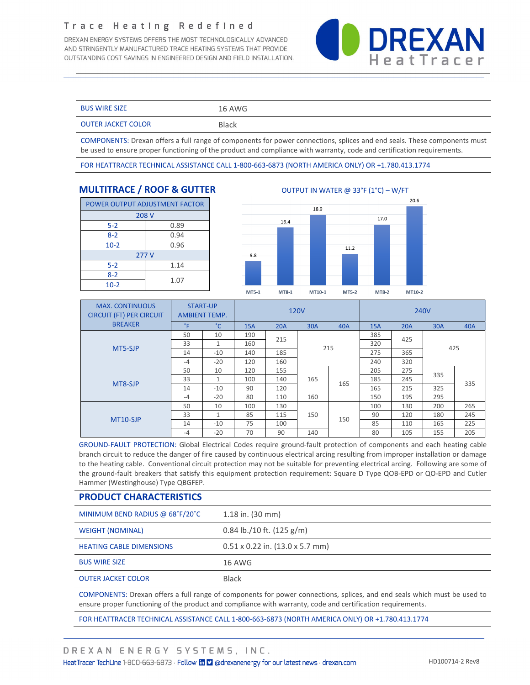DREXAN ENERGY SYSTEMS OFFERS THE MOST TECHNOLOGICALLY ADVANCED AND STRINGENTLY MANUFACTURED TRACE HEATING SYSTEMS THAT PROVIDE OUTSTANDING COST SAVINGS IN ENGINEERED DESIGN AND FIELD INSTALLATION.



| <b>BUS WIRE SIZE</b>      | <b>16 AWG</b> |
|---------------------------|---------------|
| <b>OUTER JACKET COLOR</b> | Black         |

COMPONENTS: Drexan offers a full range of components for power connections, splices and end seals. These components must be used to ensure proper functioning of the product and compliance with warranty, code and certification requirements.

FOR HEATTRACER TECHNICAL ASSISTANCE CALL 1-800-663-6873 (NORTH AMERICA ONLY) OR +1.780.413.1774

| POWER OUTPUT ADJUSTMENT FACTOR |      |  |  |  |
|--------------------------------|------|--|--|--|
| 208 V                          |      |  |  |  |
| $5 - 2$                        | 0.89 |  |  |  |
| $8 - 2$                        | 0.94 |  |  |  |
| $10-2$                         | 0.96 |  |  |  |
| 277 V                          |      |  |  |  |
| $5 - 2$                        | 1.14 |  |  |  |
| $8 - 2$                        | 1.07 |  |  |  |
| $10-2$                         |      |  |  |  |



| <b>MAX. CONTINUOUS</b><br><b>CIRCUIT (FT) PER CIRCUIT</b> | <b>START-UP</b><br><b>AMBIENT TEMP.</b> |              | 120V       |            |            | 240V |            |            |            |            |
|-----------------------------------------------------------|-----------------------------------------|--------------|------------|------------|------------|------|------------|------------|------------|------------|
| <b>BREAKER</b>                                            | $^{\circ}$ F                            | $^{\circ}$ C | <b>15A</b> | <b>20A</b> | 30A        | 40A  | <b>15A</b> | <b>20A</b> | <b>30A</b> | <b>40A</b> |
|                                                           | 50                                      | 10           | 190        |            |            |      | 385        |            |            |            |
| MT5-SJP                                                   | 33                                      | 1            | 160        | 215        | 215        |      | 320        | 425        | 425        |            |
|                                                           | 14                                      | $-10$        | 140        | 185        |            |      | 275        | 365        |            |            |
|                                                           | $-4$                                    | $-20$        | 120        | 160        |            |      | 240        | 320        |            |            |
| MT8-SJP                                                   | 50                                      | 10           | 120        | 155        | 165<br>165 |      | 205        | 275        | 335        |            |
|                                                           | 33                                      | $\mathbf{1}$ | 100        | 140        |            |      | 185        | 245        |            | 335        |
|                                                           | 14                                      | $-10$        | 90         | 120        |            | 165  | 215        | 325        |            |            |
|                                                           | $-4$                                    | $-20$        | 80         | 110        | 160        |      | 150        | 195        | 295        |            |
| MT10-SJP                                                  | 50                                      | 10           | 100        | 130        | 150<br>140 | 150  | 100        | 130        | 200        | 265        |
|                                                           | 33                                      | 1            | 85         | 115        |            |      | 90         | 120        | 180        | 245        |
|                                                           | 14                                      | $-10$        | 75         | 100        |            |      | 85         | 110        | 165        | 225        |
|                                                           | $-4$                                    | $-20$        | 70         | 90         |            |      | 80         | 105        | 155        | 205        |

GROUND-FAULT PROTECTION: Global Electrical Codes require ground-fault protection of components and each heating cable branch circuit to reduce the danger of fire caused by continuous electrical arcing resulting from improper installation or damage to the heating cable. Conventional circuit protection may not be suitable for preventing electrical arcing. Following are some of the ground-fault breakers that satisfy this equipment protection requirement: Square D Type QOB-EPD or QO-EPD and Cutler Hammer (Westinghouse) Type QBGFEP.

#### **PRODUCT CHARACTERISTICS**

| MINIMUM BEND RADIUS @ 68°F/20°C | $1.18$ in. (30 mm)                            |
|---------------------------------|-----------------------------------------------|
| <b>WEIGHT (NOMINAL)</b>         | 0.84 lb./10 ft. $(125 \text{ g/m})$           |
| <b>HEATING CABLE DIMENSIONS</b> | $0.51 \times 0.22$ in. $(13.0 \times 5.7$ mm) |
| <b>BUS WIRE SIZE</b>            | 16 AWG                                        |
| <b>OUTER JACKET COLOR</b>       | <b>Black</b>                                  |

COMPONENTS: Drexan offers a full range of components for power connections, splices, and end seals which must be used to ensure proper functioning of the product and compliance with warranty, code and certification requirements.

FOR HEATTRACER TECHNICAL ASSISTANCE CALL 1-800-663-6873 (NORTH AMERICA ONLY) OR +1.780.413.1774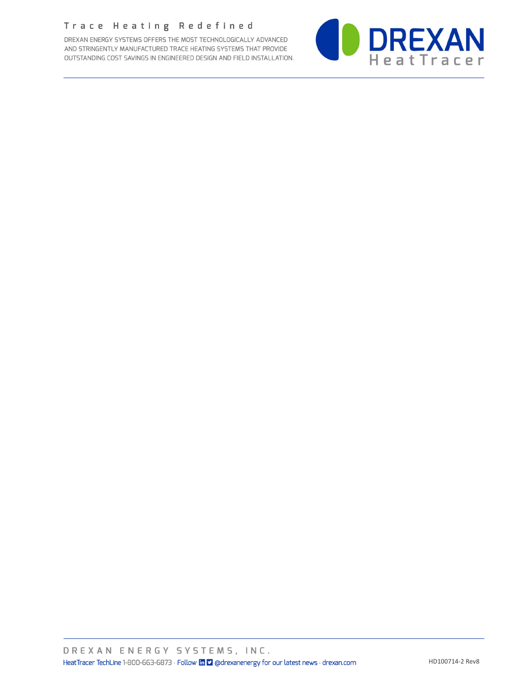DREXAN ENERGY SYSTEMS OFFERS THE MOST TECHNOLOGICALLY ADVANCED AND STRINGENTLY MANUFACTURED TRACE HEATING SYSTEMS THAT PROVIDE OUTSTANDING COST SAVINGS IN ENGINEERED DESIGN AND FIELD INSTALLATION.